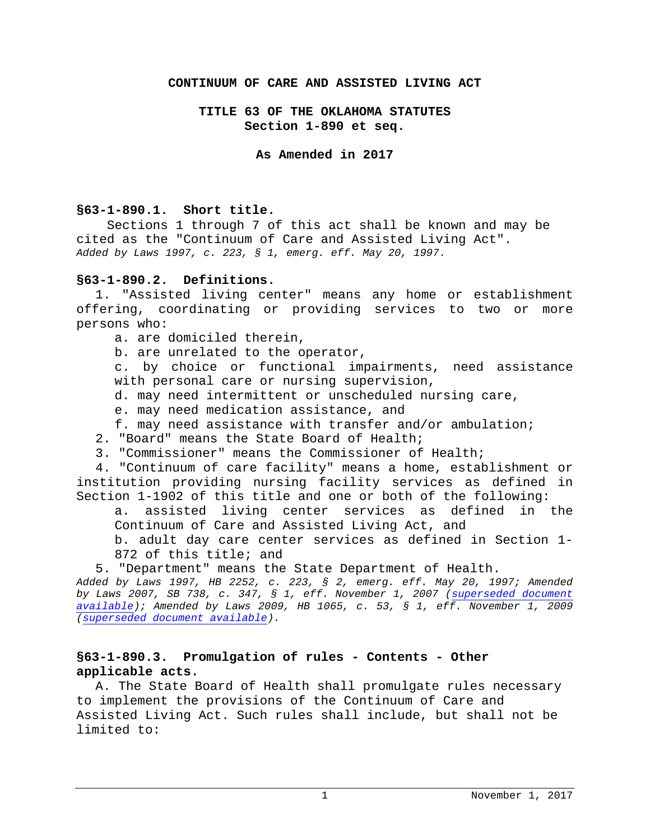#### **CONTINUUM OF CARE AND ASSISTED LIVING ACT**

### **TITLE 63 OF THE OKLAHOMA STATUTES Section 1-890 et seq.**

#### **As Amended in 2017**

#### **§63-1-890.1. Short title.**

Sections 1 through 7 of this act shall be known and may be cited as the "Continuum of Care and Assisted Living Act". *Added by Laws 1997, c. 223, § 1, emerg. eff. May 20, 1997*.

## **§63-1-890.2. Definitions.**

1. "Assisted living center" means any home or establishment offering, coordinating or providing services to two or more persons who:

- a. are domiciled therein,
- b. are unrelated to the operator,

c. by choice or functional impairments, need assistance with personal care or nursing supervision,

- d. may need intermittent or unscheduled nursing care,
- e. may need medication assistance, and
- f. may need assistance with transfer and/or ambulation;
- 2. "Board" means the State Board of Health;
- 3. "Commissioner" means the Commissioner of Health;

4. "Continuum of care facility" means a home, establishment or institution providing nursing facility services as defined in Section 1-1902 of this title and one or both of the following:

a. assisted living center services as defined in the Continuum of Care and Assisted Living Act, and

b. adult day care center services as defined in Section 1- 872 of this title; and

5. "Department" means the State Department of Health.

*Added by Laws 1997, HB 2252, c. 223, § 2, emerg. eff. May 20, 1997; Amended by Laws 2007, SB 738, c. 347, § 1, eff. November 1, 2007 [\(superseded document](http://www.oscn.net/applications/oscn/DeliverDocument.asp?citeid=450219)  [available\)](http://www.oscn.net/applications/oscn/DeliverDocument.asp?citeid=450219); Amended by Laws 2009, HB 1065, c. 53, § 1, eff. November 1, 2009 [\(superseded document available\)](http://www.oscn.net/applications/oscn/DeliverDocument.asp?citeid=456920).*

## **§63-1-890.3. Promulgation of rules - Contents - Other applicable acts.**

A. The State Board of Health shall promulgate rules necessary to implement the provisions of the Continuum of Care and Assisted Living Act. Such rules shall include, but shall not be limited to: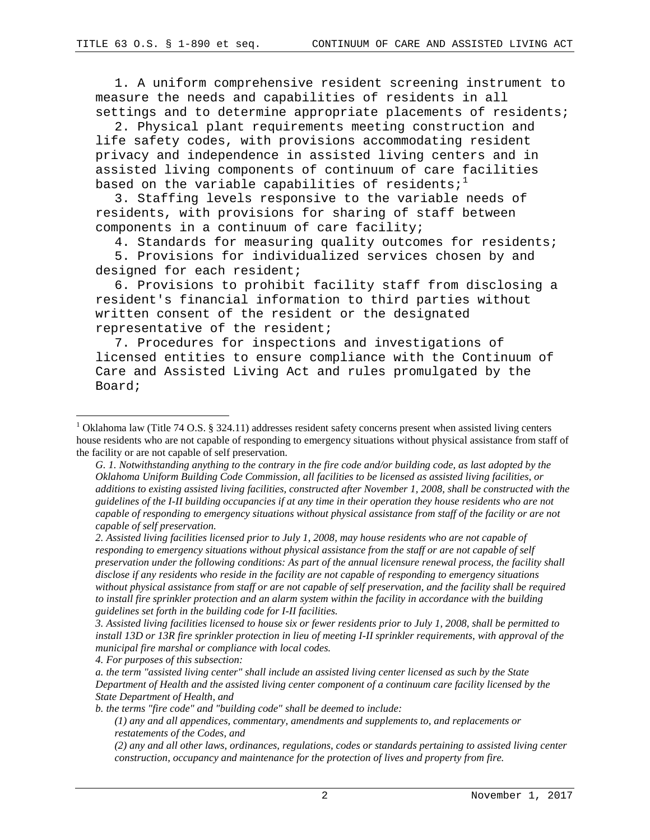1. A uniform comprehensive resident screening instrument to measure the needs and capabilities of residents in all settings and to determine appropriate placements of residents;

2. Physical plant requirements meeting construction and life safety codes, with provisions accommodating resident privacy and independence in assisted living centers and in assisted living components of continuum of care facilities based on the variable capabilities of residents; $1$ 

3. Staffing levels responsive to the variable needs of residents, with provisions for sharing of staff between components in a continuum of care facility;

4. Standards for measuring quality outcomes for residents;

5. Provisions for individualized services chosen by and designed for each resident;

6. Provisions to prohibit facility staff from disclosing a resident's financial information to third parties without written consent of the resident or the designated representative of the resident;

7. Procedures for inspections and investigations of licensed entities to ensure compliance with the Continuum of Care and Assisted Living Act and rules promulgated by the Board;

*2. Assisted living facilities licensed prior to July 1, 2008, may house residents who are not capable of responding to emergency situations without physical assistance from the staff or are not capable of self preservation under the following conditions: As part of the annual licensure renewal process, the facility shall disclose if any residents who reside in the facility are not capable of responding to emergency situations*  without physical assistance from staff or are not capable of self preservation, and the facility shall be required *to install fire sprinkler protection and an alarm system within the facility in accordance with the building guidelines set forth in the building code for I-II facilities.*

*3. Assisted living facilities licensed to house six or fewer residents prior to July 1, 2008, shall be permitted to install 13D or 13R fire sprinkler protection in lieu of meeting I-II sprinkler requirements, with approval of the municipal fire marshal or compliance with local codes.*

*4. For purposes of this subsection:*

<span id="page-1-0"></span> $1$  Oklahoma law (Title 74 O.S. § 324.11) addresses resident safety concerns present when assisted living centers house residents who are not capable of responding to emergency situations without physical assistance from staff of the facility or are not capable of self preservation.

*G. 1. Notwithstanding anything to the contrary in the fire code and/or building code, as last adopted by the Oklahoma Uniform Building Code Commission, all facilities to be licensed as assisted living facilities, or additions to existing assisted living facilities, constructed after November 1, 2008, shall be constructed with the guidelines of the I-II building occupancies if at any time in their operation they house residents who are not capable of responding to emergency situations without physical assistance from staff of the facility or are not capable of self preservation.*

*a. the term "assisted living center" shall include an assisted living center licensed as such by the State Department of Health and the assisted living center component of a continuum care facility licensed by the State Department of Health, and*

*b. the terms "fire code" and "building code" shall be deemed to include:*

*<sup>(1)</sup> any and all appendices, commentary, amendments and supplements to, and replacements or restatements of the Codes, and*

*<sup>(2)</sup> any and all other laws, ordinances, regulations, codes or standards pertaining to assisted living center construction, occupancy and maintenance for the protection of lives and property from fire.*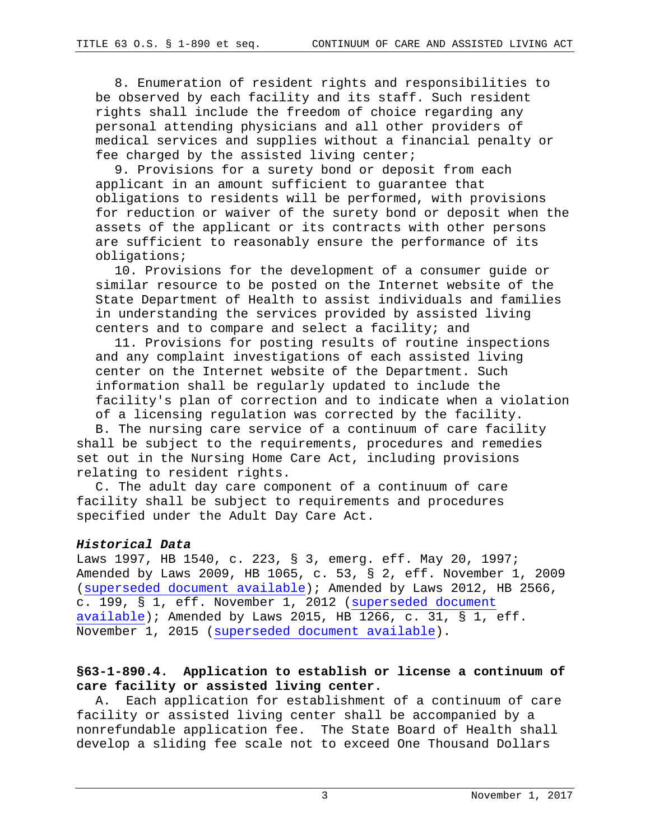8. Enumeration of resident rights and responsibilities to be observed by each facility and its staff. Such resident rights shall include the freedom of choice regarding any personal attending physicians and all other providers of medical services and supplies without a financial penalty or fee charged by the assisted living center;

9. Provisions for a surety bond or deposit from each applicant in an amount sufficient to guarantee that obligations to residents will be performed, with provisions for reduction or waiver of the surety bond or deposit when the assets of the applicant or its contracts with other persons are sufficient to reasonably ensure the performance of its obligations;

10. Provisions for the development of a consumer guide or similar resource to be posted on the Internet website of the State Department of Health to assist individuals and families in understanding the services provided by assisted living centers and to compare and select a facility; and

11. Provisions for posting results of routine inspections and any complaint investigations of each assisted living center on the Internet website of the Department. Such information shall be regularly updated to include the facility's plan of correction and to indicate when a violation of a licensing regulation was corrected by the facility.

B. The nursing care service of a continuum of care facility shall be subject to the requirements, procedures and remedies set out in the Nursing Home Care Act, including provisions relating to resident rights.

C. The adult day care component of a continuum of care facility shall be subject to requirements and procedures specified under the Adult Day Care Act.

## *Historical Data*

Laws 1997, HB 1540, c. 223, § 3, emerg. eff. May 20, 1997; Amended by Laws 2009, HB 1065, c. 53, § 2, eff. November 1, 2009 [\(superseded document available\)](http://www.oscn.net/applications/oscn/DeliverDocument.asp?citeid=456921); Amended by Laws 2012, HB 2566, c. 199, § 1, eff. November 1, 2012 [\(superseded document](http://www.oscn.net/applications/oscn/DeliverDocument.asp?citeid=467254)  [available\)](http://www.oscn.net/applications/oscn/DeliverDocument.asp?citeid=467254); Amended by Laws 2015, HB 1266, c. 31,  $\S$  1, eff. November 1, 2015 [\(superseded document available\)](http://www.oscn.net/applications/oscn/DeliverDocument.asp?citeid=476510).

# **§63-1-890.4. Application to establish or license a continuum of care facility or assisted living center.**

A. Each application for establishment of a continuum of care facility or assisted living center shall be accompanied by a nonrefundable application fee. The State Board of Health shall develop a sliding fee scale not to exceed One Thousand Dollars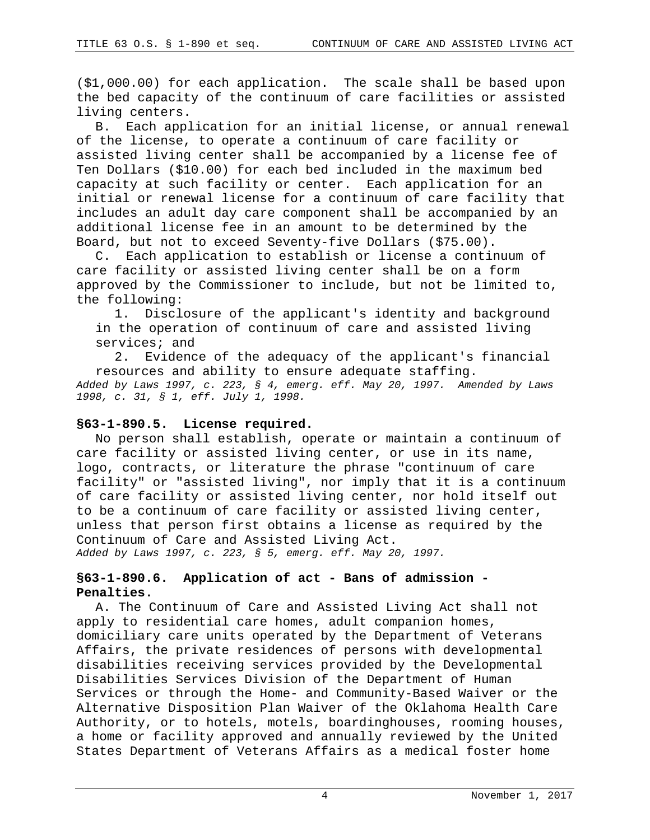(\$1,000.00) for each application. The scale shall be based upon the bed capacity of the continuum of care facilities or assisted living centers.

B. Each application for an initial license, or annual renewal of the license, to operate a continuum of care facility or assisted living center shall be accompanied by a license fee of Ten Dollars (\$10.00) for each bed included in the maximum bed capacity at such facility or center. Each application for an initial or renewal license for a continuum of care facility that includes an adult day care component shall be accompanied by an additional license fee in an amount to be determined by the Board, but not to exceed Seventy-five Dollars (\$75.00).

C. Each application to establish or license a continuum of care facility or assisted living center shall be on a form approved by the Commissioner to include, but not be limited to, the following:

1. Disclosure of the applicant's identity and background in the operation of continuum of care and assisted living services; and<br>2. Evidenc

Evidence of the adequacy of the applicant's financial resources and ability to ensure adequate staffing. *Added by Laws 1997, c. 223, § 4, emerg. eff. May 20, 1997. Amended by Laws 1998, c. 31, § 1, eff. July 1, 1998.*

### **§63-1-890.5. License required.**

No person shall establish, operate or maintain a continuum of care facility or assisted living center, or use in its name, logo, contracts, or literature the phrase "continuum of care facility" or "assisted living", nor imply that it is a continuum of care facility or assisted living center, nor hold itself out to be a continuum of care facility or assisted living center, unless that person first obtains a license as required by the Continuum of Care and Assisted Living Act. *Added by Laws 1997, c. 223, § 5, emerg. eff. May 20, 1997.*

## **§63-1-890.6. Application of act - Bans of admission - Penalties.**

A. The Continuum of Care and Assisted Living Act shall not apply to residential care homes, adult companion homes, domiciliary care units operated by the Department of Veterans Affairs, the private residences of persons with developmental disabilities receiving services provided by the Developmental Disabilities Services Division of the Department of Human Services or through the Home- and Community-Based Waiver or the Alternative Disposition Plan Waiver of the Oklahoma Health Care Authority, or to hotels, motels, boardinghouses, rooming houses, a home or facility approved and annually reviewed by the United States Department of Veterans Affairs as a medical foster home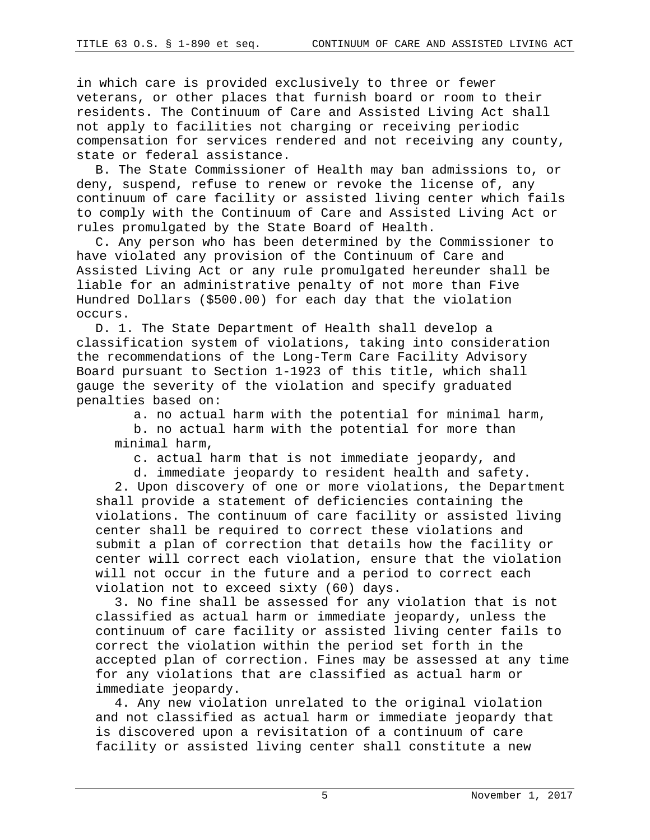in which care is provided exclusively to three or fewer veterans, or other places that furnish board or room to their residents. The Continuum of Care and Assisted Living Act shall not apply to facilities not charging or receiving periodic compensation for services rendered and not receiving any county, state or federal assistance.

B. The State Commissioner of Health may ban admissions to, or deny, suspend, refuse to renew or revoke the license of, any continuum of care facility or assisted living center which fails to comply with the Continuum of Care and Assisted Living Act or rules promulgated by the State Board of Health.

C. Any person who has been determined by the Commissioner to have violated any provision of the Continuum of Care and Assisted Living Act or any rule promulgated hereunder shall be liable for an administrative penalty of not more than Five Hundred Dollars (\$500.00) for each day that the violation occurs.

D. 1. The State Department of Health shall develop a classification system of violations, taking into consideration the recommendations of the Long-Term Care Facility Advisory Board pursuant to Section 1-1923 of this title, which shall gauge the severity of the violation and specify graduated penalties based on:

a. no actual harm with the potential for minimal harm,

b. no actual harm with the potential for more than minimal harm,

c. actual harm that is not immediate jeopardy, and

d. immediate jeopardy to resident health and safety. 2. Upon discovery of one or more violations, the Department shall provide a statement of deficiencies containing the violations. The continuum of care facility or assisted living center shall be required to correct these violations and submit a plan of correction that details how the facility or center will correct each violation, ensure that the violation will not occur in the future and a period to correct each violation not to exceed sixty (60) days.

3. No fine shall be assessed for any violation that is not classified as actual harm or immediate jeopardy, unless the continuum of care facility or assisted living center fails to correct the violation within the period set forth in the accepted plan of correction. Fines may be assessed at any time for any violations that are classified as actual harm or immediate jeopardy.

4. Any new violation unrelated to the original violation and not classified as actual harm or immediate jeopardy that is discovered upon a revisitation of a continuum of care facility or assisted living center shall constitute a new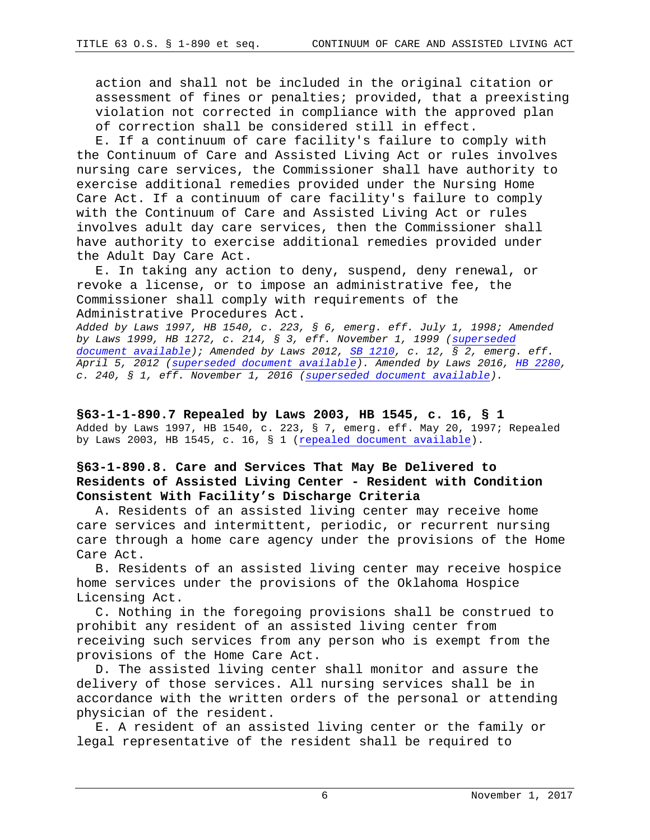action and shall not be included in the original citation or assessment of fines or penalties; provided, that a preexisting violation not corrected in compliance with the approved plan of correction shall be considered still in effect.

E. If a continuum of care facility's failure to comply with the Continuum of Care and Assisted Living Act or rules involves nursing care services, the Commissioner shall have authority to exercise additional remedies provided under the Nursing Home Care Act. If a continuum of care facility's failure to comply with the Continuum of Care and Assisted Living Act or rules involves adult day care services, then the Commissioner shall have authority to exercise additional remedies provided under the Adult Day Care Act.

E. In taking any action to deny, suspend, deny renewal, or revoke a license, or to impose an administrative fee, the Commissioner shall comply with requirements of the Administrative Procedures Act.

*Added by Laws 1997, HB 1540, c. 223, § 6, emerg. eff. July 1, 1998; Amended by Laws 1999, HB 1272, c. 214, § 3, eff. November 1, 1999 [\(superseded](http://www.oscn.net/datafiles/superseded/oklahoma/statutes/title63/X260599X63%20OS%201-890.6.html)  [document available\)](http://www.oscn.net/datafiles/superseded/oklahoma/statutes/title63/X260599X63%20OS%201-890.6.html); Amended by Laws 2012, [SB 1210,](https://www.sos.ok.gov/documents/legislation/53rd/2012/2R/SB/1210.pdf) c. 12, § 2, emerg. eff. April 5, 2012 [\(superseded document available\)](http://www.oscn.net/applications/oscn/DeliverDocument.asp?citeid=467252). Amended by Laws 2016, [HB](https://www.sos.ok.gov/documents/legislation/53rd/2012/2R/SB/1210.pdf) [2280,](http://www.oscn.net/applications/oscn/DeliverDocument.asp?CiteID=477835) c. 240, § 1, eff. November 1, 2016 [\(superseded document available\)](http://www.oscn.net/applications/oscn/DeliverDocument.asp?CiteID=98333).*

**§63-1-1-890.7 Repealed by Laws 2003, HB 1545, c. 16, § 1** Added by Laws 1997, HB 1540, c. 223, § 7, emerg. eff. May 20, 1997; Repealed by Laws 2003, HB 1545, c. 16, § 1 [\(repealed document available\)](http://www.oscn.net/applications/oscn/DeliverDocument.asp?citeid=435978).

## **§63-1-890.8. Care and Services That May Be Delivered to Residents of Assisted Living Center - Resident with Condition Consistent With Facility's Discharge Criteria**

A. Residents of an assisted living center may receive home care services and intermittent, periodic, or recurrent nursing care through a home care agency under the provisions of the Home Care Act.

B. Residents of an assisted living center may receive hospice home services under the provisions of the Oklahoma Hospice Licensing Act.

C. Nothing in the foregoing provisions shall be construed to prohibit any resident of an assisted living center from receiving such services from any person who is exempt from the provisions of the Home Care Act.

D. The assisted living center shall monitor and assure the delivery of those services. All nursing services shall be in accordance with the written orders of the personal or attending physician of the resident.

E. A resident of an assisted living center or the family or legal representative of the resident shall be required to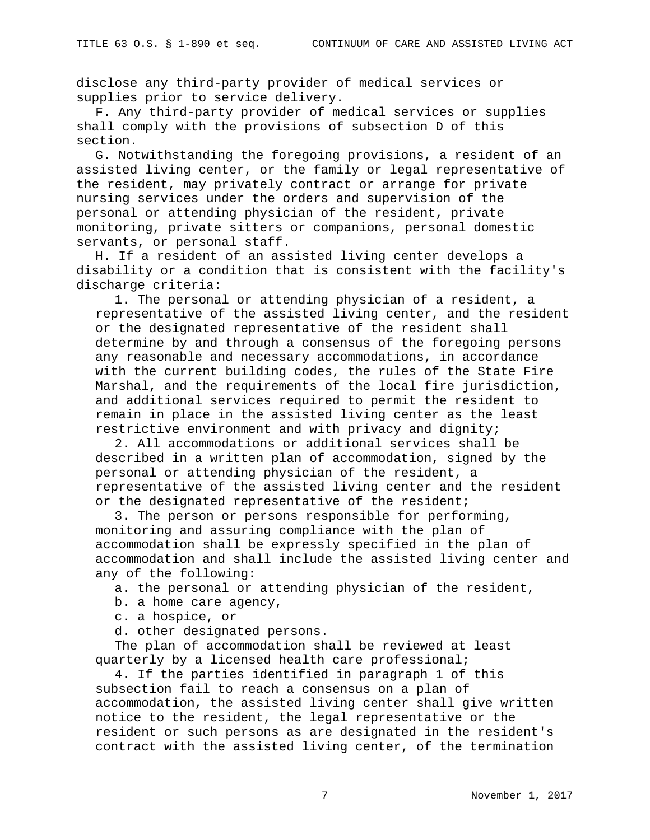disclose any third-party provider of medical services or supplies prior to service delivery.

F. Any third-party provider of medical services or supplies shall comply with the provisions of subsection D of this section.

G. Notwithstanding the foregoing provisions, a resident of an assisted living center, or the family or legal representative of the resident, may privately contract or arrange for private nursing services under the orders and supervision of the personal or attending physician of the resident, private monitoring, private sitters or companions, personal domestic servants, or personal staff.

H. If a resident of an assisted living center develops a disability or a condition that is consistent with the facility's discharge criteria:

1. The personal or attending physician of a resident, a representative of the assisted living center, and the resident or the designated representative of the resident shall determine by and through a consensus of the foregoing persons any reasonable and necessary accommodations, in accordance with the current building codes, the rules of the State Fire Marshal, and the requirements of the local fire jurisdiction, and additional services required to permit the resident to remain in place in the assisted living center as the least restrictive environment and with privacy and dignity;

2. All accommodations or additional services shall be described in a written plan of accommodation, signed by the personal or attending physician of the resident, a representative of the assisted living center and the resident or the designated representative of the resident;

3. The person or persons responsible for performing, monitoring and assuring compliance with the plan of accommodation shall be expressly specified in the plan of accommodation and shall include the assisted living center and any of the following:

a. the personal or attending physician of the resident,

b. a home care agency,

c. a hospice, or

d. other designated persons.

The plan of accommodation shall be reviewed at least quarterly by a licensed health care professional;

4. If the parties identified in paragraph 1 of this subsection fail to reach a consensus on a plan of accommodation, the assisted living center shall give written notice to the resident, the legal representative or the resident or such persons as are designated in the resident's contract with the assisted living center, of the termination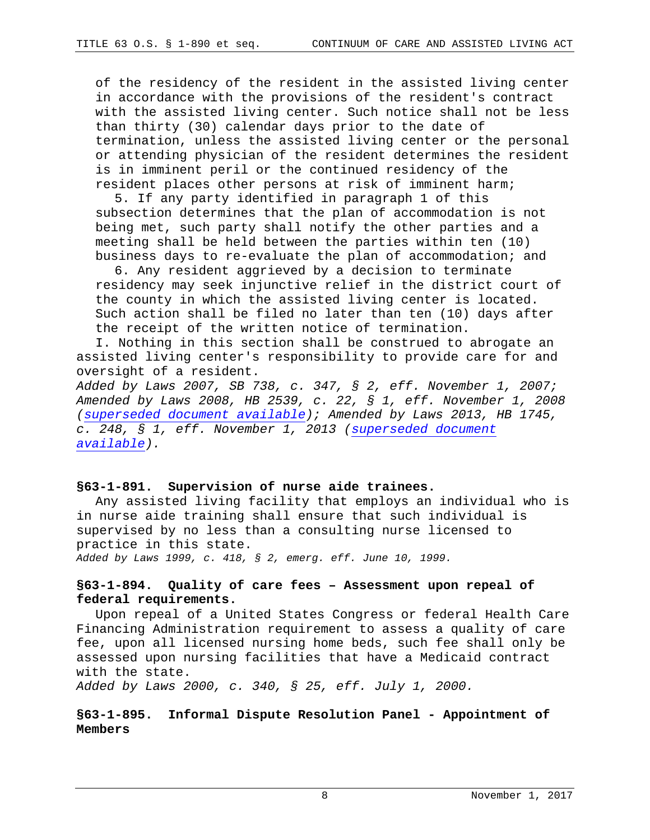of the residency of the resident in the assisted living center in accordance with the provisions of the resident's contract with the assisted living center. Such notice shall not be less than thirty (30) calendar days prior to the date of termination, unless the assisted living center or the personal or attending physician of the resident determines the resident is in imminent peril or the continued residency of the resident places other persons at risk of imminent harm;

5. If any party identified in paragraph 1 of this subsection determines that the plan of accommodation is not being met, such party shall notify the other parties and a meeting shall be held between the parties within ten (10) business days to re-evaluate the plan of accommodation; and

6. Any resident aggrieved by a decision to terminate residency may seek injunctive relief in the district court of the county in which the assisted living center is located. Such action shall be filed no later than ten (10) days after the receipt of the written notice of termination.

I. Nothing in this section shall be construed to abrogate an assisted living center's responsibility to provide care for and oversight of a resident.

*Added by Laws 2007, SB 738, c. 347, § 2, eff. November 1, 2007; Amended by Laws 2008, HB 2539, c. 22, § 1, eff. November 1, 2008 [\(superseded document available\)](http://www.oscn.net/applications/oscn/DeliverDocument.asp?citeid=453030); Amended by Laws 2013, HB 1745, c. 248, § 1, eff. November 1, 2013 [\(superseded document](http://www.oscn.net/applications/oscn/DeliverDocument.asp?citeid=470348)  [available\)](http://www.oscn.net/applications/oscn/DeliverDocument.asp?citeid=470348).*

## **§63-1-891. Supervision of nurse aide trainees.**

Any assisted living facility that employs an individual who is in nurse aide training shall ensure that such individual is supervised by no less than a consulting nurse licensed to practice in this state.

*Added by Laws 1999, c. 418, § 2, emerg. eff. June 10, 1999.*

## **§63-1-894. Quality of care fees – Assessment upon repeal of federal requirements.**

Upon repeal of a United States Congress or federal Health Care Financing Administration requirement to assess a quality of care fee, upon all licensed nursing home beds, such fee shall only be assessed upon nursing facilities that have a Medicaid contract with the state.

*Added by Laws 2000, c. 340, § 25, eff. July 1, 2000.*

## **§63-1-895. Informal Dispute Resolution Panel - Appointment of Members**